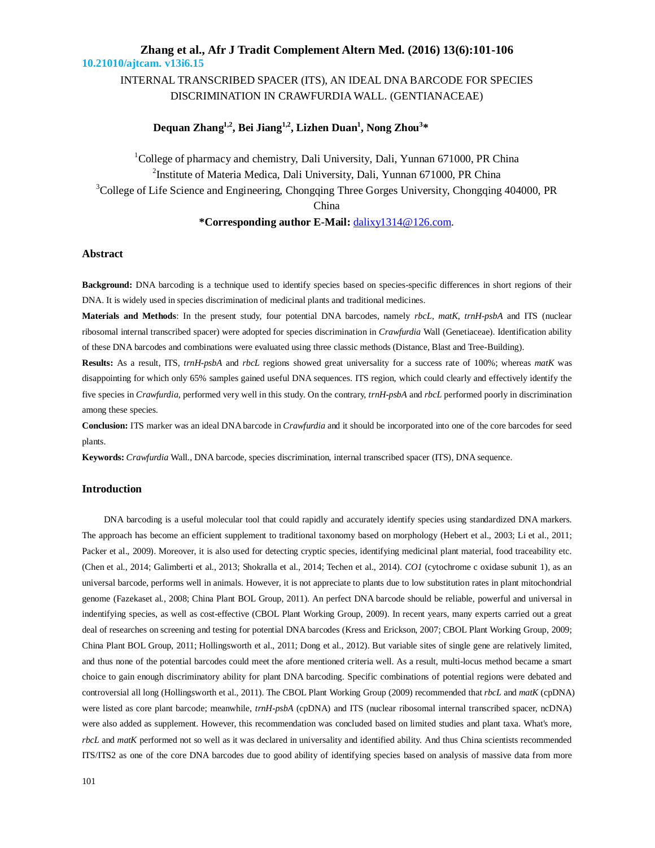## INTERNAL TRANSCRIBED SPACER (ITS), AN IDEAL DNA BARCODE FOR SPECIES DISCRIMINATION IN CRAWFURDIA WALL. (GENTIANACEAE)

## **Dequan Zhang1,2 , Bei Jiang1,2 , Lizhen Duan<sup>1</sup> , Nong Zhou<sup>3</sup> \***

<sup>1</sup>College of pharmacy and chemistry, Dali University, Dali, Yunnan 671000, PR China <sup>2</sup>Institute of Materia Medica, Dali University, Dali, Yunnan 671000, PR China <sup>3</sup>College of Life Science and Engineering, Chongqing Three Gorges University, Chongqing 404000, PR China **\*Corresponding author E-Mail:** dalixy1314@126.com.

#### **Abstract**

**Background:** DNA barcoding is a technique used to identify species based on species-specific differences in short regions of their DNA. It is widely used in species discrimination of medicinal plants and traditional medicines.

**Materials and Methods**: In the present study, four potential DNA barcodes, namely *rbcL*, *matK*, *trnH-psbA* and ITS (nuclear ribosomal internal transcribed spacer) were adopted for species discrimination in *Crawfurdia* Wall (Genetiaceae). Identification ability of these DNA barcodes and combinations were evaluated using three classic methods (Distance, Blast and Tree-Building).

**Results:** As a result, ITS, *trnH-psbA* and *rbcL* regions showed great universality for a success rate of 100%; whereas *matK* was disappointing for which only 65% samples gained useful DNA sequences. ITS region, which could clearly and effectively identify the five species in *Crawfurdia*, performed very well in this study. On the contrary, *trnH*-*psbA* and *rbcL* performed poorly in discrimination among these species.

**Conclusion:** ITS marker was an ideal DNA barcode in *Crawfurdia* and it should be incorporated into one of the core barcodes for seed plants.

**Keywords:** *Crawfurdia* Wall., DNA barcode, species discrimination, internal transcribed spacer (ITS), DNA sequence.

### **Introduction**

DNA barcoding is a useful molecular tool that could rapidly and accurately identify species using standardized DNA markers. The approach has become an efficient supplement to traditional taxonomy based on morphology (Hebert et al., 2003; Li et al., 2011; Packer et al., 2009). Moreover, it is also used for detecting cryptic species, identifying medicinal plant material, food traceability etc. (Chen et al., 2014; Galimberti et al., 2013; Shokralla et al., 2014; Techen et al., 2014). *CO1* (cytochrome c oxidase subunit 1), as an universal barcode, performs well in animals. However, it is not appreciate to plants due to low substitution rates in plant mitochondrial genome (Fazekaset al*.*, 2008; China Plant BOL Group, 2011). An perfect DNA barcode should be reliable, powerful and universal in indentifying species, as well as cost-effective (CBOL Plant Working Group, 2009). In recent years, many experts carried out a great deal of researches on screening and testing for potential DNA barcodes (Kress and Erickson, 2007; CBOL Plant Working Group, 2009; China Plant BOL Group, 2011; Hollingsworth et al., 2011; Dong et al., 2012). But variable sites of single gene are relatively limited, and thus none of the potential barcodes could meet the afore mentioned criteria well. As a result, multi-locus method became a smart choice to gain enough discriminatory ability for plant DNA barcoding. Specific combinations of potential regions were debated and controversial all long (Hollingsworth et al., 2011). The CBOL Plant Working Group (2009) recommended that *rbcL* and *matK* (cpDNA) were listed as core plant barcode; meanwhile, *trnH-psbA* (cpDNA) and ITS (nuclear ribosomal internal transcribed spacer, ncDNA) were also added as supplement. However, this recommendation was concluded based on limited studies and plant taxa. What's more, *rbcL* and *matK* performed not so well as it was declared in universality and identified ability. And thus China scientists recommended ITS/ITS2 as one of the core DNA barcodes due to good ability of identifying species based on analysis of massive data from more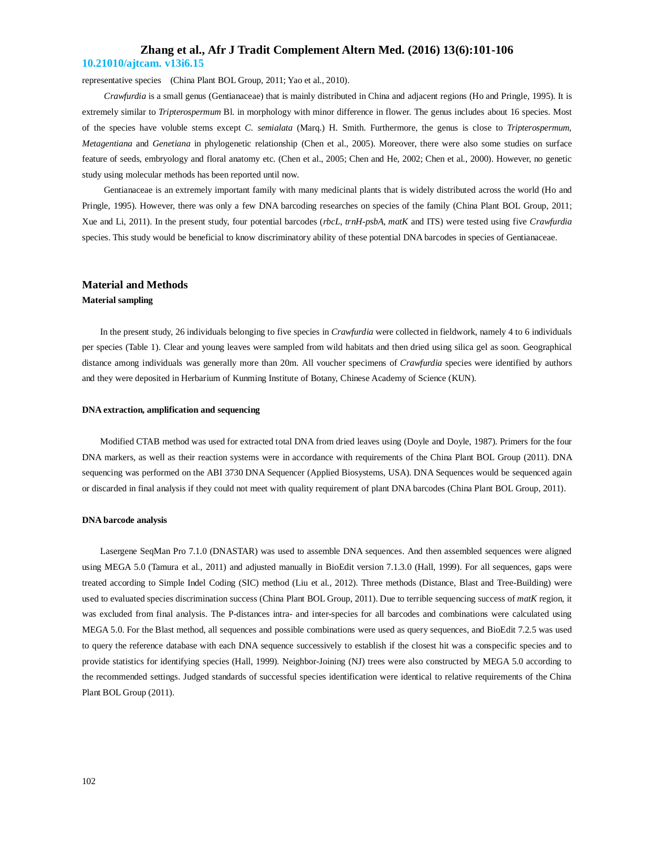representative species (China Plant BOL Group, 2011; Yao et al., 2010).

*Crawfurdia* is a small genus (Gentianaceae) that is mainly distributed in China and adjacent regions (Ho and Pringle, 1995). It is extremely similar to *Tripterospermum* Bl. in morphology with minor difference in flower. The genus includes about 16 species. Most of the species have voluble stems except *C. semialata* (Marq.) H. Smith. Furthermore, the genus is close to *Tripterospermum*, *Metagentiana* and *Genetiana* in phylogenetic relationship (Chen et al., 2005). Moreover, there were also some studies on surface feature of seeds, embryology and floral anatomy etc. (Chen et al., 2005; Chen and He, 2002; Chen et al*.*, 2000). However, no genetic study using molecular methods has been reported until now.

Gentianaceae is an extremely important family with many medicinal plants that is widely distributed across the world (Ho and Pringle, 1995). However, there was only a few DNA barcoding researches on species of the family (China Plant BOL Group, 2011; Xue and Li, 2011). In the present study, four potential barcodes (*rbcL*, *trnH-psbA*, *matK* and ITS) were tested using five *Crawfurdia* species. This study would be beneficial to know discriminatory ability of these potential DNA barcodes in species of Gentianaceae.

### **Material and Methods**

#### **Material sampling**

In the present study, 26 individuals belonging to five species in *Crawfurdia* were collected in fieldwork, namely 4 to 6 individuals per species (Table 1). Clear and young leaves were sampled from wild habitats and then dried using silica gel as soon. Geographical distance among individuals was generally more than 20m. All voucher specimens of *Crawfurdia* species were identified by authors and they were deposited in Herbarium of Kunming Institute of Botany, Chinese Academy of Science (KUN).

#### **DNA extraction, amplification and sequencing**

Modified CTAB method was used for extracted total DNA from dried leaves using (Doyle and Doyle, 1987). Primers for the four DNA markers, as well as their reaction systems were in accordance with requirements of the China Plant BOL Group (2011). DNA sequencing was performed on the ABI 3730 DNA Sequencer (Applied Biosystems, USA). DNA Sequences would be sequenced again or discarded in final analysis if they could not meet with quality requirement of plant DNA barcodes (China Plant BOL Group, 2011).

#### **DNA barcode analysis**

Lasergene SeqMan Pro 7.1.0 (DNASTAR) was used to assemble DNA sequences. And then assembled sequences were aligned using MEGA 5.0 (Tamura et al*.*, 2011) and adjusted manually in BioEdit version 7.1.3.0 (Hall, 1999). For all sequences, gaps were treated according to Simple Indel Coding (SIC) method (Liu et al*.*, 2012). Three methods (Distance, Blast and Tree-Building) were used to evaluated species discrimination success (China Plant BOL Group, 2011). Due to terrible sequencing success of *matK* region, it was excluded from final analysis. The P-distances intra- and inter-species for all barcodes and combinations were calculated using MEGA 5.0. For the Blast method, all sequences and possible combinations were used as query sequences, and BioEdit 7.2.5 was used to query the reference database with each DNA sequence successively to establish if the closest hit was a conspecific species and to provide statistics for identifying species (Hall, 1999). Neighbor-Joining (NJ) trees were also constructed by MEGA 5.0 according to the recommended settings. Judged standards of successful species identification were identical to relative requirements of the China Plant BOL Group (2011).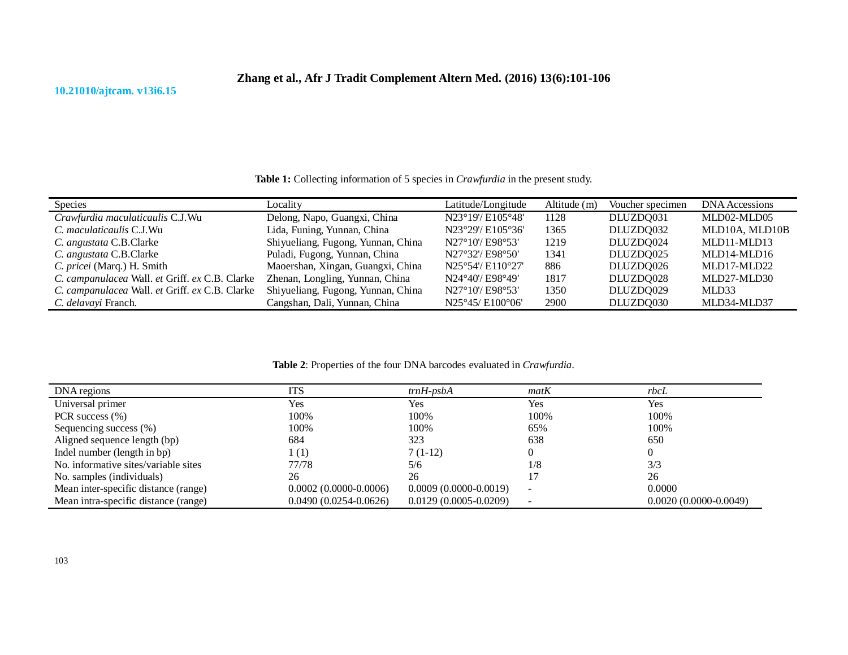## **10.21010/ajtcam. v13i6.15**

**Table 1:** Collecting information of 5 species in *Crawfurdia* in the present study.

| <b>Species</b>                                 | Locality                           | Latitude/Longitude | Altitude (m) | Voucher specimen | DNA Accessions |
|------------------------------------------------|------------------------------------|--------------------|--------------|------------------|----------------|
| Crawfurdia maculaticaulis C.J.Wu               | Delong, Napo, Guangxi, China       | N23°19'/ E105°48'  | 1128         | DLUZDQ031        | MLD02-MLD05    |
| C. maculaticaulis C.J.Wu                       | Lida, Funing, Yunnan, China        | N23°29'/ E105°36'  | 1365         | DLUZDQ032        | MLD10A, MLD10B |
| C. angustata C.B.Clarke                        | Shiyueliang, Fugong, Yunnan, China | N27°10'/E98°53'    | 1219         | DLUZDQ024        | MLD11-MLD13    |
| C. angustata C.B.Clarke                        | Puladi, Fugong, Yunnan, China      | N27°32'/ E98°50'   | 1341         | DLUZDQ025        | MLD14-MLD16    |
| C. pricei (Marq.) H. Smith                     | Maoershan, Xingan, Guangxi, China  | N25°54'/ E110°27'  | 886          | DLUZDQ026        | MLD17-MLD22    |
| C. campanulacea Wall. et Griff. ex C.B. Clarke | Zhenan, Longling, Yunnan, China    | N24°40'/ E98°49'   | 1817         | DLUZDQ028        | MLD27-MLD30    |
| C. campanulacea Wall. et Griff. ex C.B. Clarke | Shiyueliang, Fugong, Yunnan, China | N27°10'/E98°53'    | 1350         | DLUZDQ029        | MLD33          |
| C. delavavi Franch.                            | Cangshan, Dali, Yunnan, China      | N25°45/E100°06'    | 2900         | DLUZDQ030        | MLD34-MLD37    |

## **Table 2**: Properties of the four DNA barcodes evaluated in *Crawfurdia*.

| DNA regions                          | ITS                     | $trnH$ -psb $A$           | matK | rbcL                      |
|--------------------------------------|-------------------------|---------------------------|------|---------------------------|
| Universal primer                     | Yes                     | Yes                       | Yes  | Yes                       |
| PCR success $(\% )$                  | 100%                    | 100%                      | 100% | 100%                      |
| Sequencing success (%)               | 100%                    | 100%                      | 65%  | 100%                      |
| Aligned sequence length (bp)         | 684                     | 323                       | 638  | 650                       |
| Indel number (length in bp)          | $\perp(1)$              | $7(1-12)$                 |      |                           |
| No. informative sites/variable sites | 77/78                   | 5/6                       | 1/8  | 3/3                       |
| No. samples (individuals)            | 26                      | 26                        |      | 26                        |
| Mean inter-specific distance (range) | $0.0002(0.0000-0.0006)$ | $0.0009(0.0000-0.0019)$   |      | 0.0000                    |
| Mean intra-specific distance (range) | $0.0490(0.0254-0.0626)$ | $0.0129(0.0005 - 0.0209)$ |      | $0.0020(0.0000 - 0.0049)$ |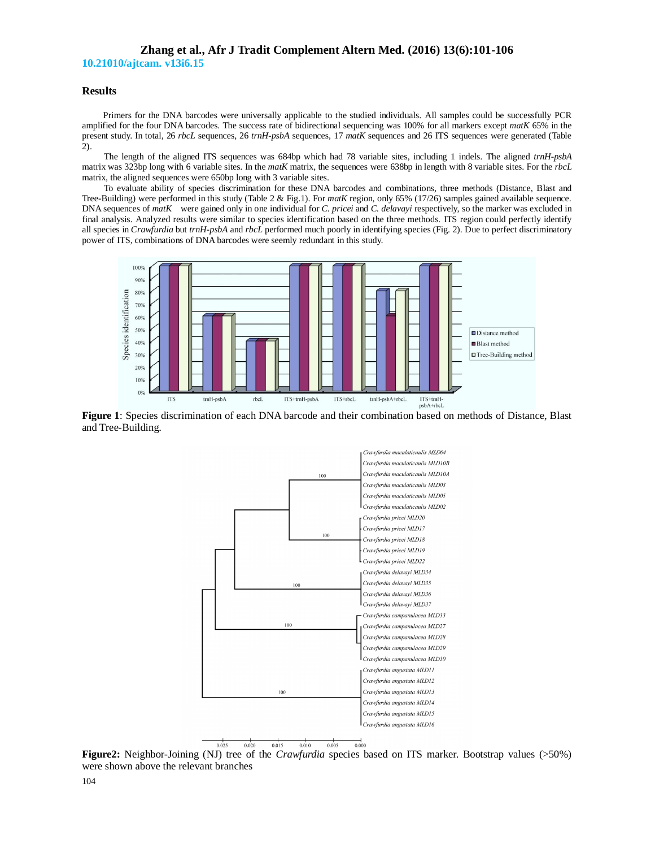# **Zhang et al., Afr J Tradit Complement Altern Med. (2016) 13(6):101-106**

**10.21010/ajtcam. v13i6.15**

### **Results**

Primers for the DNA barcodes were universally applicable to the studied individuals. All samples could be successfully PCR amplified for the four DNA barcodes. The success rate of bidirectional sequencing was 100% for all markers except *matK* 65% in the present study. In total, 26 *rbcL* sequences, 26 *trnH-psbA* sequences, 17 *matK* sequences and 26 ITS sequences were generated (Table 2).

The length of the aligned ITS sequences was 684bp which had 78 variable sites, including 1 indels. The aligned *trnH-psbA* matrix was 323bp long with 6 variable sites. In the *matK* matrix, the sequences were 638bp in length with 8 variable sites. For the *rbcL* matrix, the aligned sequences were 650bp long with 3 variable sites.

To evaluate ability of species discrimination for these DNA barcodes and combinations, three methods (Distance, Blast and Tree-Building) were performed in this study (Table 2 & Fig.1). For *matK* region, only 65% (17/26) samples gained available sequence. DNA sequences of *matK* were gained only in one individual for *C. pricei* and *C. delavayi* respectively, so the marker was excluded in final analysis. Analyzed results were similar to species identification based on the three methods. ITS region could perfectly identify all species in *Crawfurdia* but *trnH-psbA* and *rbcL* performed much poorly in identifying species (Fig. 2). Due to perfect discriminatory power of ITS, combinations of DNA barcodes were seemly redundant in this study.



**Figure 1**: Species discrimination of each DNA barcode and their combination based on methods of Distance, Blast and Tree-Building.



**Figure2:** Neighbor-Joining (NJ) tree of the *Crawfurdia* species based on ITS marker. Bootstrap values (>50%) were shown above the relevant branches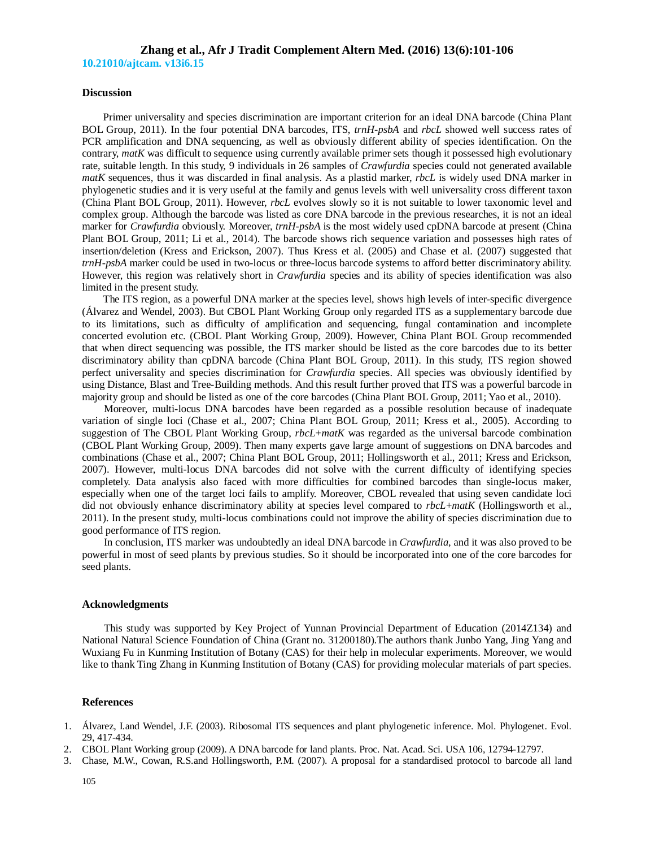#### **Discussion**

Primer universality and species discrimination are important criterion for an ideal DNA barcode (China Plant BOL Group, 2011). In the four potential DNA barcodes, ITS, *trnH-psbA* and *rbcL* showed well success rates of PCR amplification and DNA sequencing, as well as obviously different ability of species identification. On the contrary, *matK* was difficult to sequence using currently available primer sets though it possessed high evolutionary rate, suitable length. In this study, 9 individuals in 26 samples of *Crawfurdia* species could not generated available *matK* sequences, thus it was discarded in final analysis. As a plastid marker, *rbcL* is widely used DNA marker in phylogenetic studies and it is very useful at the family and genus levels with well universality cross different taxon (China Plant BOL Group, 2011). However, *rbcL* evolves slowly so it is not suitable to lower taxonomic level and complex group. Although the barcode was listed as core DNA barcode in the previous researches, it is not an ideal marker for *Crawfurdia* obviously. Moreover, *trnH-psbA* is the most widely used cpDNA barcode at present (China Plant BOL Group, 2011; Li et al., 2014). The barcode shows rich sequence variation and possesses high rates of insertion/deletion (Kress and Erickson, 2007). Thus Kress et al. (2005) and Chase et al. (2007) suggested that *trnH-psbA* marker could be used in two-locus or three-locus barcode systems to afford better discriminatory ability. However, this region was relatively short in *Crawfurdia* species and its ability of species identification was also limited in the present study.

The ITS region, as a powerful DNA marker at the species level, shows high levels of inter-specific divergence (Álvarez and Wendel, 2003). But CBOL Plant Working Group only regarded ITS as a supplementary barcode due to its limitations, such as difficulty of amplification and sequencing, fungal contamination and incomplete concerted evolution etc. (CBOL Plant Working Group, 2009). However, China Plant BOL Group recommended that when direct sequencing was possible, the ITS marker should be listed as the core barcodes due to its better discriminatory ability than cpDNA barcode (China Plant BOL Group, 2011). In this study, ITS region showed perfect universality and species discrimination for *Crawfurdia* species. All species was obviously identified by using Distance, Blast and Tree-Building methods. And this result further proved that ITS was a powerful barcode in majority group and should be listed as one of the core barcodes (China Plant BOL Group, 2011; Yao et al., 2010).

Moreover, multi-locus DNA barcodes have been regarded as a possible resolution because of inadequate variation of single loci (Chase et al., 2007; China Plant BOL Group, 2011; Kress et al., 2005). According to suggestion of The CBOL Plant Working Group, *rbcL*+*matK* was regarded as the universal barcode combination (CBOL Plant Working Group, 2009). Then many experts gave large amount of suggestions on DNA barcodes and combinations (Chase et al., 2007; China Plant BOL Group, 2011; Hollingsworth et al., 2011; Kress and Erickson, 2007). However, multi-locus DNA barcodes did not solve with the current difficulty of identifying species completely. Data analysis also faced with more difficulties for combined barcodes than single-locus maker, especially when one of the target loci fails to amplify. Moreover, CBOL revealed that using seven candidate loci did not obviously enhance discriminatory ability at species level compared to *rbcL*+*matK* (Hollingsworth et al., 2011). In the present study, multi-locus combinations could not improve the ability of species discrimination due to good performance of ITS region.

In conclusion, ITS marker was undoubtedly an ideal DNA barcode in *Crawfurdia*, and it was also proved to be powerful in most of seed plants by previous studies. So it should be incorporated into one of the core barcodes for seed plants.

#### **Acknowledgments**

This study was supported by Key Project of Yunnan Provincial Department of Education (2014Z134) and National Natural Science Foundation of China (Grant no. 31200180).The authors thank Junbo Yang, Jing Yang and Wuxiang Fu in Kunming Institution of Botany (CAS) for their help in molecular experiments. Moreover, we would like to thank Ting Zhang in Kunming Institution of Botany (CAS) for providing molecular materials of part species.

#### **References**

- 1. Álvarez, I.and Wendel, J.F. (2003). Ribosomal ITS sequences and plant phylogenetic inference. Mol. Phylogenet. Evol. 29, 417-434.
- 2. CBOL Plant Working group (2009). A DNA barcode for land plants. Proc. Nat. Acad. Sci. USA 106, 12794-12797.
- 3. Chase, M.W., Cowan, R.S.and Hollingsworth, P.M. (2007). A proposal for a standardised protocol to barcode all land